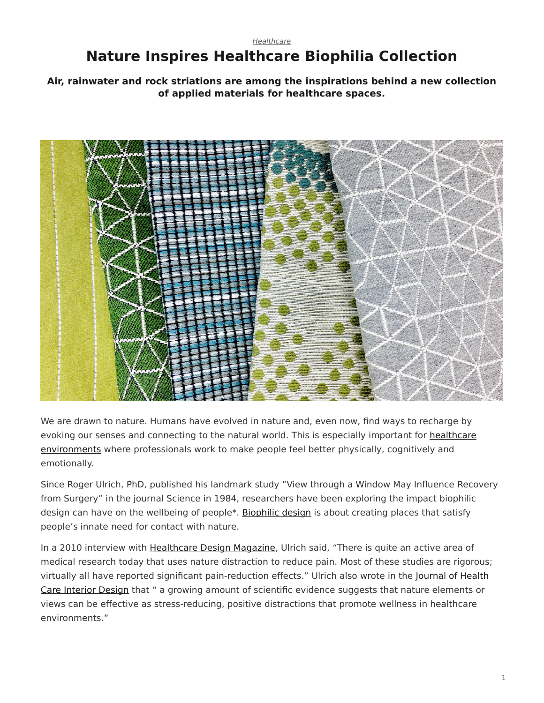## <span id="page-0-0"></span>*[Healthcare](https://www.steelcase.com/research/topics/healthcare/)* **Nature Inspires Healthcare Biophilia Collection**

**Air, rainwater and rock striations are among the inspirations behind a new collection of applied materials for healthcare spaces.**



We are drawn to nature. Humans have evolved in nature and, even now, find ways to recharge by evoking our senses and connecting to the natural world. This is especially important for [healthcare](https://www.steelcase.com/research/articles/the-power-of-place-in-healthcare-environments/) [environments](https://www.steelcase.com/research/articles/the-power-of-place-in-healthcare-environments/) where professionals work to make people feel better physically, cognitively and emotionally.

Since Roger Ulrich, PhD, published his landmark study "View through a Window May Influence Recovery from Surgery" in the journal Science in 1984, researchers have been exploring the impact biophilic design can have on the wellbeing of people\*. [Biophilic design](https://www.steelcase.com/research/articles/topics/wellbeing/dubai-design-finding-value-biophilia/) is about creating places that satisfy people's innate need for contact with nature.

In a 2010 interview with [Healthcare Design Magazine](https://www.healthcaredesignmagazine.com/architecture/conversation-roger-ulrich/), Ulrich said, "There is quite an active area of medical research today that uses nature distraction to reduce pain. Most of these studies are rigorous; virtually all have reported significant pain-reduction effects." Ulrich also wrote in the [Journal of Health](https://www.ncbi.nlm.nih.gov/pubmed/10123973?dopt=Abstract) [Care Interior Design](https://www.ncbi.nlm.nih.gov/pubmed/10123973?dopt=Abstract) that " a growing amount of scientific evidence suggests that nature elements or views can be effective as stress-reducing, positive distractions that promote wellness in healthcare environments."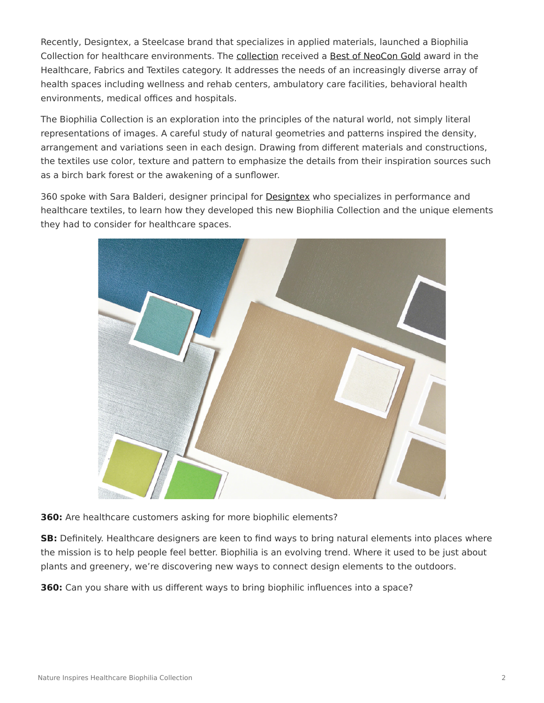Recently, Designtex, a Steelcase brand that specializes in applied materials, launched a Biophilia Collection for healthcare environments. The [collection](http://www.designtex.com/products/all-products.html?product-view=large-view) received a [Best of NeoCon Gold](https://www.steelcase.com/research/articles/topics/best-of-neocon/steelcase-receives-top-honors-neocon-2017/) award in the Healthcare, Fabrics and Textiles category. It addresses the needs of an increasingly diverse array of health spaces including wellness and rehab centers, ambulatory care facilities, behavioral health environments, medical offices and hospitals.

The Biophilia Collection is an exploration into the principles of the natural world, not simply literal representations of images. A careful study of natural geometries and patterns inspired the density, arrangement and variations seen in each design. Drawing from different materials and constructions, the textiles use color, texture and pattern to emphasize the details from their inspiration sources such as a birch bark forest or the awakening of a sunflower.

360 spoke with Sara Balderi, designer principal for [Designtex](http://www.designtex.com/) who specializes in performance and healthcare textiles, to learn how they developed this new Biophilia Collection and the unique elements they had to consider for healthcare spaces.



**360:** Are healthcare customers asking for more biophilic elements?

**SB:** Definitely. Healthcare designers are keen to find ways to bring natural elements into places where the mission is to help people feel better. Biophilia is an evolving trend. Where it used to be just about plants and greenery, we're discovering new ways to connect design elements to the outdoors.

**360:** Can you share with us different ways to bring biophilic influences into a space?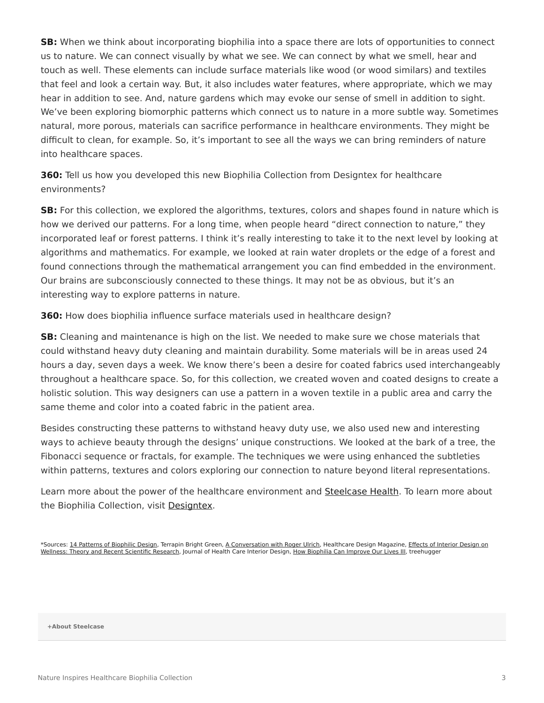**SB:** When we think about incorporating biophilia into a space there are lots of opportunities to connect us to nature. We can connect visually by what we see. We can connect by what we smell, hear and touch as well. These elements can include surface materials like wood (or wood similars) and textiles that feel and look a certain way. But, it also includes water features, where appropriate, which we may hear in addition to see. And, nature gardens which may evoke our sense of smell in addition to sight. We've been exploring biomorphic patterns which connect us to nature in a more subtle way. Sometimes natural, more porous, materials can sacrifice performance in healthcare environments. They might be difficult to clean, for example. So, it's important to see all the ways we can bring reminders of nature into healthcare spaces.

**360:** Tell us how you developed this new Biophilia Collection from Designtex for healthcare environments?

**SB:** For this collection, we explored the algorithms, textures, colors and shapes found in nature which is how we derived our patterns. For a long time, when people heard "direct connection to nature," they incorporated leaf or forest patterns. I think it's really interesting to take it to the next level by looking at algorithms and mathematics. For example, we looked at rain water droplets or the edge of a forest and found connections through the mathematical arrangement you can find embedded in the environment. Our brains are subconsciously connected to these things. It may not be as obvious, but it's an interesting way to explore patterns in nature.

**360:** How does biophilia influence surface materials used in healthcare design?

**SB:** Cleaning and maintenance is high on the list. We needed to make sure we chose materials that could withstand heavy duty cleaning and maintain durability. Some materials will be in areas used 24 hours a day, seven days a week. We know there's been a desire for coated fabrics used interchangeably throughout a healthcare space. So, for this collection, we created woven and coated designs to create a holistic solution. This way designers can use a pattern in a woven textile in a public area and carry the same theme and color into a coated fabric in the patient area.

Besides constructing these patterns to withstand heavy duty use, we also used new and interesting ways to achieve beauty through the designs' unique constructions. We looked at the bark of a tree, the Fibonacci sequence or fractals, for example. The techniques we were using enhanced the subtleties within patterns, textures and colors exploring our connection to nature beyond literal representations.

Learn more about the power of the healthcare environment and [Steelcase Health](https://www.steelcase.com/discover/information/health/). To learn more about the Biophilia Collection, visit [Designtex](http://designtex.com/).

**[+About Steelcase](https://www.steelcase.com/discover/steelcase/our-company/)**

<sup>\*</sup>Sources: [14 Patterns of Biophilic Design,](https://www.terrapinbrightgreen.com/reports/14-patterns/) Terrapin Bright Green, [A Conversation with Roger Ulrich,](https://www.healthcaredesignmagazine.com/architecture/conversation-roger-ulrich/) Healthcare Design Magazine, [Effects of Interior Design on](https://www.ncbi.nlm.nih.gov/pubmed/10123973?dopt=Abstract) [Wellness: Theory and Recent Scientific Research,](https://www.ncbi.nlm.nih.gov/pubmed/10123973?dopt=Abstract) Journal of Health Care Interior Design, [How Biophilia Can Improve Our Lives III,](https://www.treehugger.com/green-architecture/how-biophilia-can-improve-our-lives-part-iii.html) treehugger